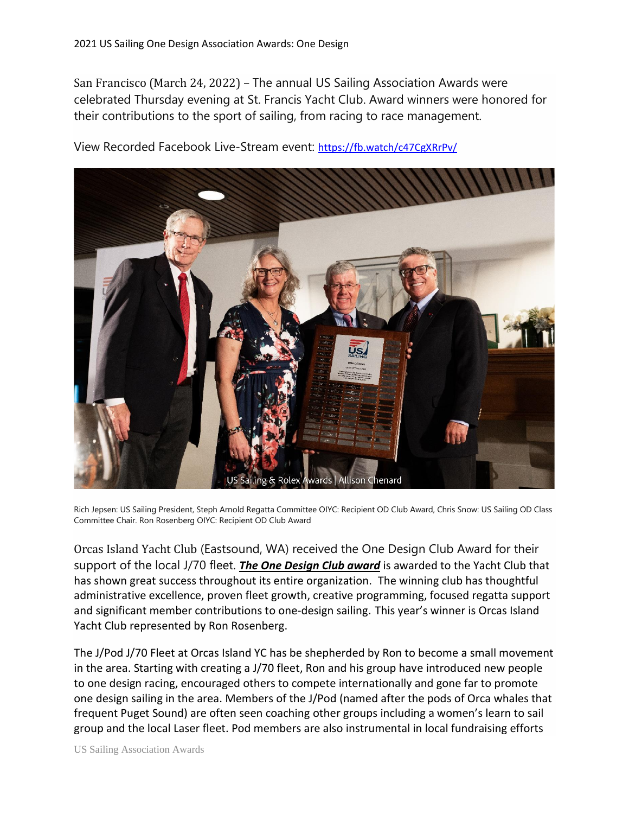San Francisco (March 24, 2022) – The annual US Sailing Association Awards were celebrated Thursday evening at St. Francis Yacht Club. Award winners were honored for their contributions to the sport of sailing, from racing to race management.



View Recorded Facebook Live-Stream event: <https://fb.watch/c47CgXRrPv/>

Rich Jepsen: US Sailing President, Steph Arnold Regatta Committee OIYC: Recipient OD Club Award, Chris Snow: US Sailing OD Class Committee Chair. Ron Rosenberg OIYC: Recipient OD Club Award

Orcas Island Yacht Club (Eastsound, WA) received the One Design Club Award for their support of the local J/70 fleet. *The One Design Club award* is awarded to the Yacht Club that has shown great success throughout its entire organization. The winning club has thoughtful administrative excellence, proven fleet growth, creative programming, focused regatta support and significant member contributions to one-design sailing. This year's winner is Orcas Island Yacht Club represented by Ron Rosenberg.

The J/Pod J/70 Fleet at Orcas Island YC has be shepherded by Ron to become a small movement in the area. Starting with creating a J/70 fleet, Ron and his group have introduced new people to one design racing, encouraged others to compete internationally and gone far to promote one design sailing in the area. Members of the J/Pod (named after the pods of Orca whales that frequent Puget Sound) are often seen coaching other groups including a women's learn to sail group and the local Laser fleet. Pod members are also instrumental in local fundraising efforts